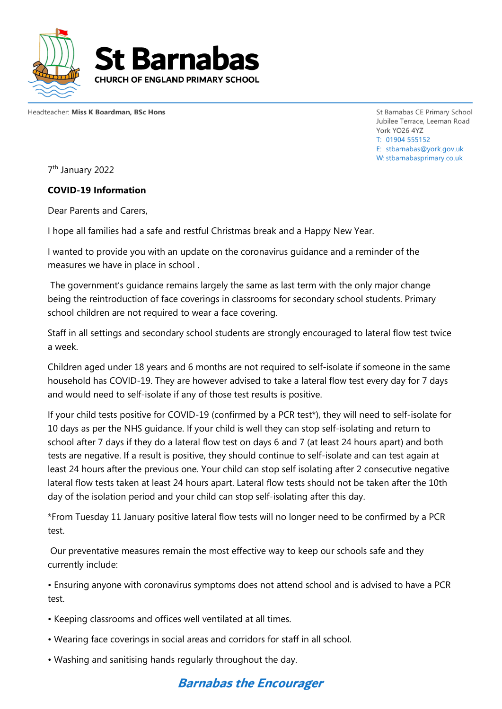

Headteacher: Miss K Boardman, BSc Hons

St Barnabas CE Primary School Jubilee Terrace, Leeman Road York YO26 4YZ T: 01904 555152 E: stbarnabas@york.gov.uk W: stbarnabasprimary.co.uk

7<sup>th</sup> January 2022

## **COVID-19 Information**

Dear Parents and Carers,

I hope all families had a safe and restful Christmas break and a Happy New Year.

I wanted to provide you with an update on the coronavirus guidance and a reminder of the measures we have in place in school .

The government's guidance remains largely the same as last term with the only major change being the reintroduction of face coverings in classrooms for secondary school students. Primary school children are not required to wear a face covering.

Staff in all settings and secondary school students are strongly encouraged to lateral flow test twice a week.

Children aged under 18 years and 6 months are not required to self-isolate if someone in the same household has COVID-19. They are however advised to take a lateral flow test every day for 7 days and would need to self-isolate if any of those test results is positive.

If your child tests positive for COVID-19 (confirmed by a PCR test\*), they will need to self-isolate for 10 days as per the NHS guidance. If your child is well they can stop self-isolating and return to school after 7 days if they do a lateral flow test on days 6 and 7 (at least 24 hours apart) and both tests are negative. If a result is positive, they should continue to self-isolate and can test again at least 24 hours after the previous one. Your child can stop self isolating after 2 consecutive negative lateral flow tests taken at least 24 hours apart. Lateral flow tests should not be taken after the 10th day of the isolation period and your child can stop self-isolating after this day.

\*From Tuesday 11 January positive lateral flow tests will no longer need to be confirmed by a PCR test.

Our preventative measures remain the most effective way to keep our schools safe and they currently include:

• Ensuring anyone with coronavirus symptoms does not attend school and is advised to have a PCR test.

- Keeping classrooms and offices well ventilated at all times.
- Wearing face coverings in social areas and corridors for staff in all school.
- Washing and sanitising hands regularly throughout the day.

## **Barnabas the Encourager**